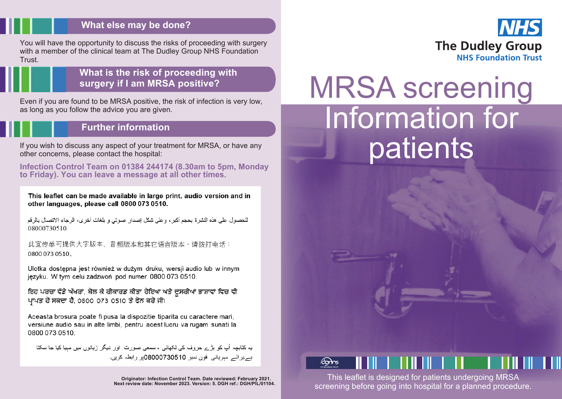#### **What else may be done?**

You will have the opportunity to discuss the risks of proceeding with surgery with a member of the clinical team at The Dudley Group NHS Foundation **Trust** 

#### **What is the risk of proceeding with surgery if I am MRSA positive?**

Even if you are found to be MRSA positive, the risk of infection is very low, as long as you follow the advice you are given.

### **Further information**

If you wish to discuss any aspect of your treatment for MRSA, or have any other concerns, please contact the hospital:

**Infection Control Team on 01384 244174 (8.30am to 5pm, Monday to Friday). You can leave a message at all other times.**

This leaflet can be made available in large print, audio version and in other languages, please call 0800 073 0510.

للحصول على هذه النشرة بحجم أكبر ، وعلى شكل إصدار صوتي و بلغات أخرى، الرجاء الاتصال بالرقم 08000730510

此宣传单可提供大字版本、音频版本和其它语言版本,请拨打电话: 0800 073 0510.

Ulotka dostępna jest również w dużym druku, wersji audio lub w innym jezyku. W tym celu zadzwoń pod numer 0800 073 0510.

ਇਹ ਪਰਚਾ ਵੱਡੇ ਅੱਖਰਾਂ, ਬੋਲ ਕੇ ਰੀਕਾਰਡ ਕੀਤਾ ਹੋਇਆ ਅਤੇ ਦੂਸਰੀਆਂ ਭਾਸ਼ਾਵਾਂ ਵਿਚ ਵੀ ਪਾਪਤ ਹੋ ਸਕਦਾ ਹੈ. 0800 073 0510 ਤੇ ਫੋਨ ਕਰੋ ਜੀ।

Aceasta brosura poate fi pusa la dispozitie tiparita cu caractere mari, versiune audio sau in alte limbi, pentru acest lucru va rugam sunati la 0800 073 0510.

یہ کتابچہ آپ کو بڑے حروف کی لکھائی ، سمعی صورت اور دیگر زبانوں میں مبیا کیا جا سکتا بسربر ائسر مبرياني فون نمبر 08000730510بر رابطہ كريں۔



# MRSA screening Information for patients



This leaflet is designed for patients undergoing MRSA screening before going into hospital for a planned procedure.